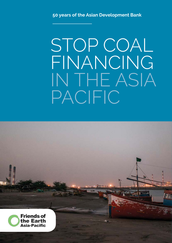**50 years of the Asian Development Bank** 

# STOP COAL FINANCING IN THE ASIA PACIFIC

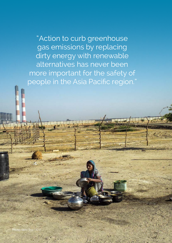"Action to curb greenhouse gas emissions by replacing dirty energy with renewable alternatives has never been more important for the safety of people in the Asia Pacific region."

**2**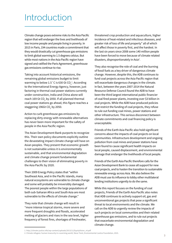# Introduction

Climate change poses extreme risks to the Asia Pacific region that will endanger the lives and livelihoods of low income people and people living in poverty. In 2015 in Paris, 194 countries made a commitment that they would drastically cut greenhouse gas emissions to limit global warming to 1.5 degrees celsius. But while most nations in the Asia Pacific region have signed and ratified the Paris Agreement, greenhouse gas emissions continue to rise.

Taking into account historical emissions, the remaining global emissions budget to limit warming to below 1.5  $^{\circ}$ C is 630 Gt CO $_{2}^{\text{--}1}$ . According to the International Energy Agency, however, just factoring in thermal coal power stations currently under construction, India and China alone will reach 169 Gt CO $_{\rm _2}$  by 2050. If all planned thermal coal power stations go ahead, this figure reaches a staggering 196Gt CO $_{\rm 2}$  by 2050.

Action to curb greenhouse gas emissions by replacing dirty energy with renewable alternatives has never been more important for the safety of people in the Asia Pacific region.

The Asian Development Bank purports to recognize this. Their own policy documents explicitly outline the devastating impact climate change will have on Asian peoples. They present that economic growth is not sustainable unless it is environmentally sustainable, and that environmental degradation and climate change present fundamental challenges to their vision of eliminating poverty in the Asia Pacific by 2020.

Their 2009 Energy Policy states that "within Southeast Asia, and in the Pacific islands, many natural ecosystems are vulnerable to climate change and some will probably be irreversibly damaged. The poorest people within the large populations of both sub-Saharan Africa and South Asia are most vulnerable to the effects of climate change."

They note that climate change will result in "more intense tropical storms, more severe and more frequent droughts and floods, accelerated melting of glaciers and rises in the sea level, higher frequency of forest fires, shortages of freshwater,

threatened crop production and aquaculture, higher incidence of heat-related and infectious diseases, and greater risk of loss of life and property" all of which will affect those in poverty first, and the hardest. In the last six years since 2008 some 140 million people have been forced to move because of climate related disasters, disproportionately in Asia<sup>2</sup>.

They also recognise the role of coal and the burning of fossil fuels as a key driver of dangerous climate change. However, despite this, the ADB continues to fund coal projects across the Asia Pacific region that will exacerbate dangerous changes in the climate. In fact, between the years 2007-2014 the Natural Resource Defense Council found the ADB to have been the third largest international public financier of coal fired power plants, investing over \$3 billion in coal projects. While the ADB have produced policies that restrict the funding of coal projects, they refuse to rule out funding coal mines, power stations and other infrastructure. This serious disconnect between climate commitments and coal financing policy is unacceptable.

Friends of the Earth Asia Pacific also hold significant concerns about the impacts of coal projects on local communities. Infrastructure development and ongoing pollution from coal mines and power stations have been found to cause significant health impacts on local people, caused displacement, and environmental damage that endanger the livelihoods of local people.

Friends of the Earth Asia Pacific therefore calls for the Asian Development Bank to cease all support for new coal projects, and to hasten the transition to sustainable renewable energy across Asia. We also believe the ADB must use its influence to lobby other multilateral lending institutions urgently to do the same.

While this report focuses on the funding of coal projects, Friends of the Earth Asia Pacific also notes that ADB continues to actively support oil, gas and unconventional gas projects that pose a significant threat to local environments and the climate. We call on the ADB to urgently review the impacts of such projects on local communities and their related greenhouse gas emissions, and to rule out projects that exacerbate environmental degradation and climate change.

<sup>1.</sup> http://climate-justice.info/wp-content/uploads/2013/11/EquityVision\_v4.pdf

<sup>2.</sup> Climate refugees: human insecurity in a warming world, Steve Trent, Environmental Justice Foundation, 2015.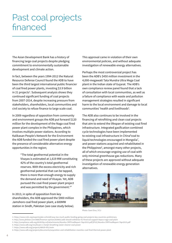# Past coal projects financed

The Asian Development Bank has a history of financing large coal projects despite pledging commitment to environmentally sustainable development and climate action.

In fact, between the years 1994-2012 the Natural Resource Defense Council found the ADB to have been the third largest international public financier of coal fired power plants, investing \$3.9 billion in 21 projects<sup>3</sup>. Subsequent analysis shows they continued significant funding of coal projects from 2007-2014, despite increasing pressure from stakeholders, shareholders, local communities and civil society to refuse finance to large scale coal.

In 2009 regardless of opposition from community and environment groups the ADB put forward \$120 million for the development of the Naga coal fired power plant complex in the Philippines, which involves multiple power stations. According to Kalikasan People's Network for the Environment the ADB funded the coal fired power plant despite the presence of considerable alternative energy opportunities in the region;

> "The total geothermal potential in the Visayas is estimated at 1,619 MW constituting 42% of the country's total geothermal reserves. With the excess electricity and rich geothermal potential that can be tapped, there is more than enough energy to supply the demand and need of Visayas. Yet, ADB pursued the coal-fired power plant project and was permitted by the government.<sup>4</sup>"

In 2013, in spite of opposition from key shareholders, the ADB approved the \$900 million Jamshoro coal fired power plant, a 600MW station in Sindh, Pakistan (see case study below). This approval came in violation of their own environmental policies, and without adequate investigation of renewable energy alternatives.

Perhaps the most controversial project has been the ADB's \$450 million investment in the 4,000-megawatt Tata Mundra Ultra Mega Coal plant in the Indian state of Gujarat. The ADB's own compliance review panel found that a lack of consultation with local communities, as well as a failure of compliance with waste and pollution management strategies resulted in significant harm to the local environment and damage to local communities' health and livelihoods<sup>5</sup>.

The ADB also continues to be involved in the financing of retrofitting and clean coal projects that aim to extend the lifespan of existing coal fired infrastructure. Integrated gasification combined cycle technologies have been implemented to existing coal infrastructure in China<sup>c</sup>coal to liquid technologies encouraged in Mongolia<sup>7</sup>, and power stations acquired and rehabilitated in the Philippines<sup>8</sup>, amongst many other projects, all of which encourage ongoing use of coal with only minimal greenhouse gas reductions. Many of these projects are approved without adequate investigation of renewable energy generation alternatives.



Photo: Sami Siva / ICIJ

<sup>3.</sup> https://www.nrdc.org/experts/jake-schmidt/way-too-much-public-funding-going-coal-projects-key-countries-preliminary

<sup>4.</sup> http://www.philstar.com:8080/freeman-opinion/630601/adb-should-withdraw-its-financial-support-kepco-naga-coal-plant

<sup>5.</sup> http://compliance.adb.org/dir0035p.nsf/attachments/Mundra-CRPFinalReport-7Apr2015.pdf/\$FILE/Mundra-CRPFinalReport-7Apr2015.pdf

<sup>6.</sup> https://www.adb.org/results/prc-s-tianjin-breathing-easier-cleaner-coal-power

<sup>7.</sup> https://www.adb.org/projects/48029-001/main

<sup>8.</sup> https://www.adb.org/projects/documents/acquisition-and-rehabilitation-masinloc-coal-fired-thermal-power-plant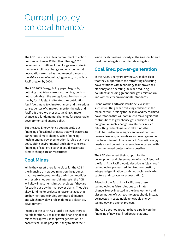# Current policy on coal finance

The ADB has made a clear commitment to action on climate change. Within their Strategy2020 document, an outline of their long-term strategic framework, climate change and environmental degradation are cited as fundamental dangers to the ADB's vision of eliminating poverty in the Asia Pacific region by 2020.

The ADB 2009 Energy Policy paper begins by outlining that Asia's current economic growth is not sustainable if the energy it requires has to be met by fossil fuels. It reiterates the contribution fossil fuels make to climate change, and the serious consequences of climate change for the Asia and Pacific. It therefore presents tackling climate change as a fundamental challenge for sustainable development and energy policy.

But the 2009 Energy Policy does not rule out financing of fossil fuel projects that will exacerbate dangerous climate change. While financing nuclear energy power generation is ruled out in the policy citing environmental and safety concerns, financing of coal projects that could exacerbate climate change are only restricted.

### **Coal Mines**

While they assert there is no place for the ADB in the financing of new coalmines on the grounds that they are internationally traded commodities with established commercial interests, the ADB will allow investments in such projects if they are for captive use by thermal power plants. They also allow funding for projects in nascent stages that are having trouble finding commercial finance, and which may play a role in domestic electricity development.

Friends of the Earth Asia Pacific believes there is no role for the ADB to play in the financing of coal mines for captive use for power generation, or nascent coal mine projects, if they to meet their

vision for eliminating poverty in the Asia Pacific and meet their obligations on climate mitigation.

### **Coal fired power-generation**

In their 2009 Energy Policy the ADB makes clear that they support both the retrofitting of existing power stations with technology to improve their efficiency and operating life while reducing pollutants including greenhouse gas emissions in line with stricter environmental standards.

Friends of the Earth Asia Pacific believes that such retro fitting, while reducing emissions in the medium term, prolong the lifespan of dirty coal fired power station that will continue to make significant contributions to greenhouse gas emissions and dangerous climate change. Investments in such retrofitting technologies also take funds that could be used to make significant investments in renewable energy alternatives for power generation that have minimal climate impact. Domestic energy needs should be met by renewable energy, and with community-lead projects where possible.

The ABD also assert their support for the development and dissemination of what Friends of the Earth Asia Pacific would describe as 'clean coal' technologies: pressurized fluidized combustion, integrated gasification combined cycle, and carbon capture and storage (or sequestration).

Friends of the Earth Asia Pacific sees these technologies as false solutions to climate change. Money invested in the development and dissemination of such technologies should instead be invested in sustainable renewable energy technology and energy projects.

The ADB does not appear to have a policy on the financing of new coal fired power stations.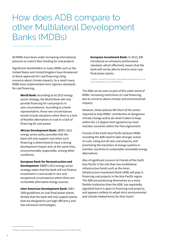### How does ADB compare to other Multilateral Development Banks (MDBs)

All MDBs have been under increasing international pressure to restrict their funding for coal projects.

Significant shareholders in many MDBs such as the United States and United Kingdom have threatened to block approvals for coal financing citing concerns about climate impacts. As a result many MDBs have implemented more rigorous standards for coal financing.

> **World Bank:** According to its 2013 energy sector strategy, the World Bank will only provide financing for coal projects in rare circumstances. According to a bank representative, those rare circumstances would include situations when there is a lack of feasible alternatives to coal or a lack of financing for coal power.

 **African Development Bank:** AfDB's 2012 energy sector policy provides that the bank will only support coal when such financing is determined to have a strong development impact and, at the same time, environmentally responsible, among other conditions.

 **European Bank for Reconstruction and Development:** EBRD's 2013 energy sector strategy states that the bank will not finance investment in coal except in rare and exceptional circumstances where there are no feasible alternative energy sources.

 **Inter-American Development Bank:** IDB's 2009 guidelines on coal-fired power plants dictate that the bank will only support plants that are designed to use high-efficiency and low-emissions technologies.

 **European Investment Bank:** In 2013, EIB introduced an emissions performance standard, which effectively means that the bank will not be able to lend to most coalfired power plants.

 Citation: Lorenzo Piccio https://www.devex.com/news/coal-or-nocoal-a-balancing-act-for-mdbs-87610

The ADB can be seen as part of this wider trend of MDBs' increasing restrictions on coal financing, due to concerns about climate and environmental impacts.

However, these policies fall short of the action required to stop MDBs' contribution to dangerous climate change and to do what it takes to keep within the 1.5 degree limit agreed to by most member countries within the Paris Agreement.

Friends of the Earth Asia Pacific believes MDBs including the ADB need to take stronger action on coal, ruling out all new coal projects, and prioritizing the transition of energy systems in member countries to sustainable renewable energy alternatives.

Also of significant concern to Friends of the Earth Asia Pacific is the role that new multilateral infrastructure funds such as the Asian Infrastructure Investment Bank (AIIB) will play in financing coal projects in the Asia Pacific region. The AIIB are positioning themselves as a more flexible institution than the ADB, has reportedly signalled that it is open to financing coal projects, and appears unlikely to adopt strict environmental and climate related terms for their loans<sup>9</sup>.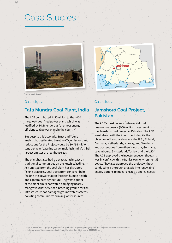# Case Studies





#### Case study:

#### **Tata Mundra Coal Plant, India**

The ADB contributed \$450million to the 4000 megawatt coal fired power plant, which was justified by MDB lenders as 'the most energy efficient coal power plant in the country.'

But despite this accolade, Ernst and Young analysis has estimated baseline CO $_2$  emissions and reductions for the Project would be 30.796 million tons per year (baseline value) making it India's third largest emitter of greenhouse gas.

The plant has also had a devastating impact on traditional communities on the Kutch coastline. Ash emitted from the coal plant has disrupted fishing practices. Coal dusts from conveyor belts feeding the power station threaten human health and contaminate agriculture. The waste outlet of the plant emits hot water, damaging nearby mangroves that serve as a breeding ground for fish. Infrastructure has damaged groundwater systems, polluting communities' drinking water sources.



#### Case study:

#### **Jamshoro Coal Project, Pakistan**

The ADB's most recent controversial coal finance has been a \$900 million investment in the Jamshoro coal project in Pakistan. The ADB went ahead with the investment despite the objection of key shareholders: the U.S., Finland, Denmark, Netherlands, Norway, and Sweden – and abstentions from others – Austria, Germany, Luxembourg, Switzerland, Turkey, and the U.K<sup>10</sup>. The ADB approved the investment even though it was in conflict with the Bank's own environmental policy. They also approved the project without conducting a thorough analysis into renewable energy options to meet Pakistan's energy needs $^{11}$ .

10. https://www.nrdc.org/experts/jake-schmidt/pakistan-coal-power-plant-get-public-funding-will-be-last-coal-plant-funded 11. http://www.huffingtonpost.com/justin-guay/the-adbs-dirty-little-coa\_b\_5504315.html